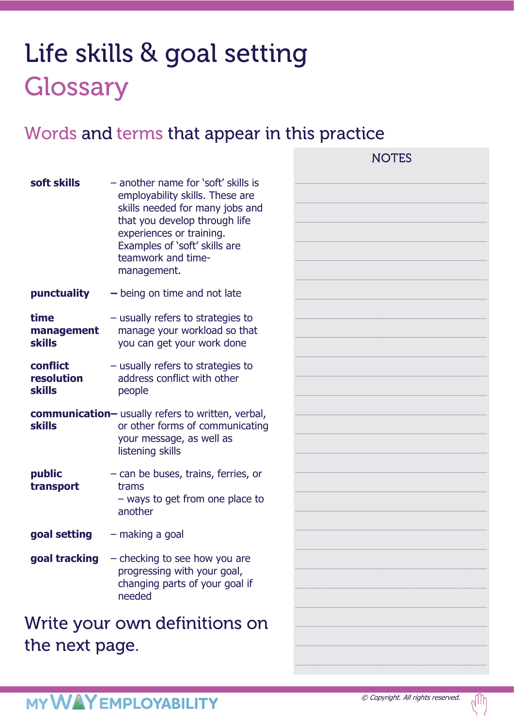# Life skills & goal setting Glossary

### Words and terms that appear in this practice

| soft skills                             | - another name for 'soft' skills is<br>employability skills. These are<br>skills needed for many jobs and<br>that you develop through life<br>experiences or training.<br>Examples of 'soft' skills are<br>teamwork and time-<br>management. |  |
|-----------------------------------------|----------------------------------------------------------------------------------------------------------------------------------------------------------------------------------------------------------------------------------------------|--|
| punctuality                             | $-$ being on time and not late                                                                                                                                                                                                               |  |
| time<br>management<br><b>skills</b>     | - usually refers to strategies to<br>manage your workload so that<br>you can get your work done                                                                                                                                              |  |
| conflict<br>resolution<br><b>skills</b> | - usually refers to strategies to<br>address conflict with other<br>people                                                                                                                                                                   |  |
| <b>skills</b>                           | communication- usually refers to written, verbal,<br>or other forms of communicating<br>your message, as well as<br>listening skills                                                                                                         |  |
| public<br>transport                     | - can be buses, trains, ferries, or<br>trams<br>- ways to get from one place to<br>another                                                                                                                                                   |  |
| goal setting                            | - making a goal                                                                                                                                                                                                                              |  |
| goal tracking                           | - checking to see how you are<br>progressing with your goal,<br>changing parts of your goal if<br>needed                                                                                                                                     |  |
| 1 A S                                   | $\mathbf{A}$ , $\mathbf{A}$ , and $\mathbf{A}$                                                                                                                                                                                               |  |

Write your own definitions on the next page.

 $\oslash$  Copyright. All rights reserved.  $\bigcap_{\cap}\bigcap$ 

**NOTES** 



## **MY WAY EMPLOYABILITY**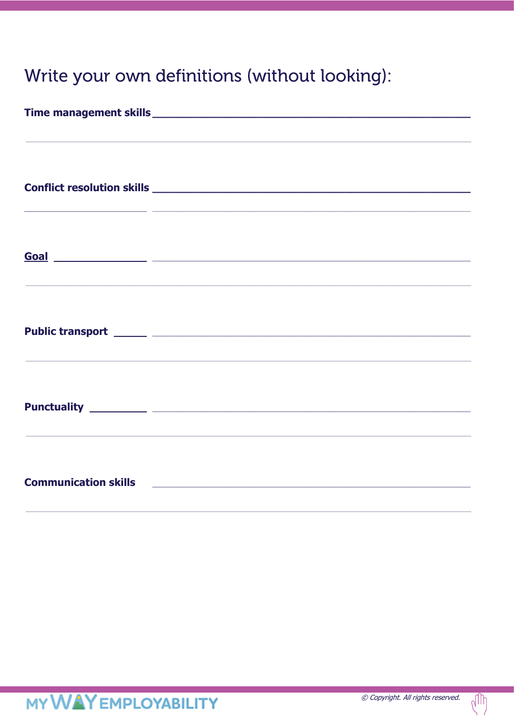## Write your own definitions (without looking):

| <u> 1989 - Andrea Andrew Maria (h. 1989).</u> |                                                                                                                       |  |
|-----------------------------------------------|-----------------------------------------------------------------------------------------------------------------------|--|
|                                               |                                                                                                                       |  |
|                                               |                                                                                                                       |  |
|                                               |                                                                                                                       |  |
| <b>Communication skills</b>                   | <u> 1980 - Johann Barbara, martin da basar da basar da basar da basar da basar da basar da basar da basar da basa</u> |  |

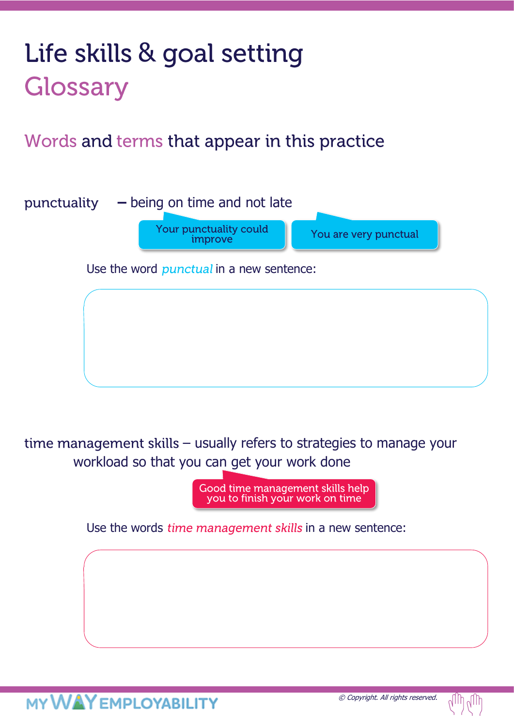# Life skills & goal setting Glossary

Words and terms that appear in this practice

punctuality **–** being on time and not late Your punctuality could You are very punctual improve Use the word *punctual* in a new sentence:

time management skills  $-$  usually refers to strategies to manage your workload so that you can get your work done

> Good time management skills help you to finish your work on time

Use the words *time management skills* in a new sentence:

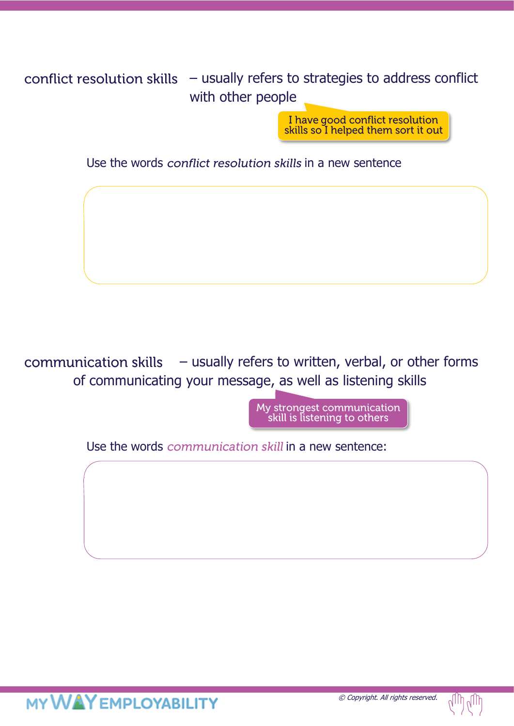#### conflict resolution skills  $-$  usually refers to strategies to address conflict with other people

I have good conflict resolution<br>skills so I helped them sort it out

Use the words conflict resolution skills in a new sentence

communication skills  $-$  usually refers to written, verbal, or other forms of communicating your message, as well as listening skills

> My strongest communication skill is listening to others

Use the words *communication skill* in a new sentence:

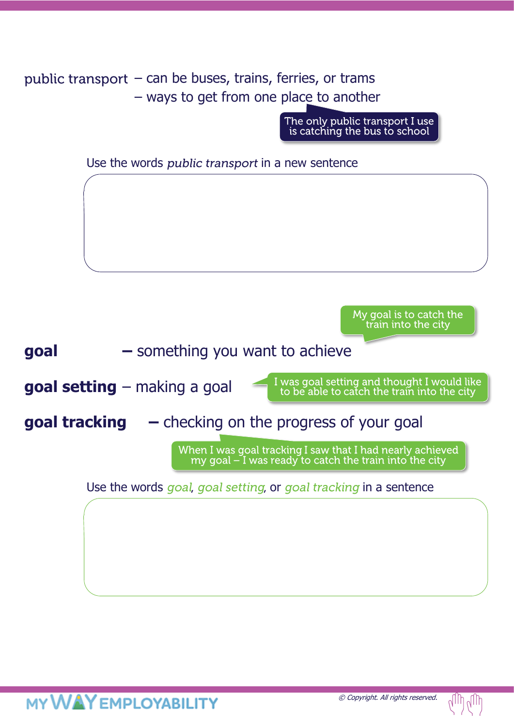public transport  $-$  can be buses, trains, ferries, or trams – ways to get from one place to another

The only public transport I use<br>is catching the bus to school

Use the words *public transport* in a new sentence

My goal is to catch the train into the city

**goal –** something you want to achieve

**goal setting** – making a goal

I was goal setting and thought I would like<br>to be able to catch the train into the city

**goal tracking –** checking on the progress of your goal

When I was goal tracking I saw that I had nearly achieved<br>my goal – I was ready to catch the train into the city

Use the words goal, goal setting, or goal tracking in a sentence

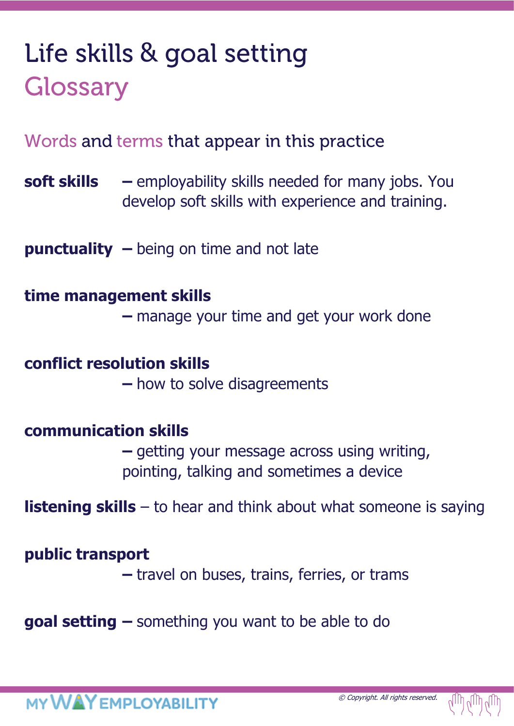# Life skills & goal setting Glossary

Words and terms that appear in this practice

**soft skills –** employability skills needed for many jobs. You develop soft skills with experience and training.

**punctuality –** being on time and not late

### **time management skills**

**–** manage your time and get your work done

### **conflict resolution skills**

**–** how to solve disagreements

### **communication skills**

**–** getting your message across using writing, pointing, talking and sometimes a device

**listening skills** – to hear and think about what someone is saying

### **public transport**

**–** travel on buses, trains, ferries, or trams

**goal setting –** something you want to be able to do